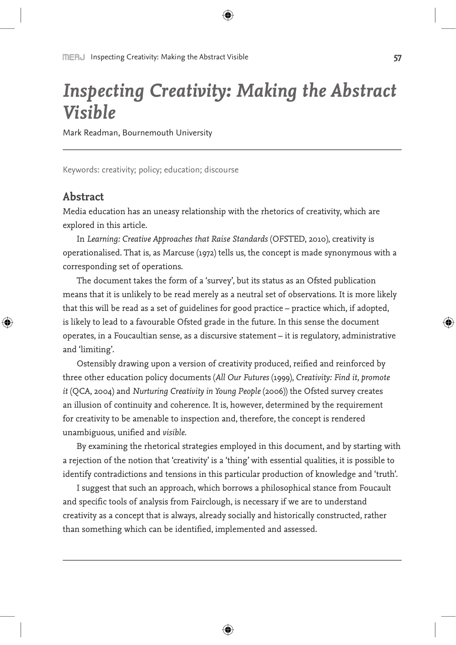# *Inspecting Creativity: Making the Abstract Visible*

Mark Readman, Bournemouth University

Keywords: creativity; policy; education; discourse

## **Abstract**

⊕

Media education has an uneasy relationship with the rhetorics of creativity, which are explored in this article.

In *Learning: Creative Approaches that Raise Standards* (OFSTED, 2010), creativity is operationalised. That is, as Marcuse (1972) tells us, the concept is made synonymous with a corresponding set of operations.

The document takes the form of a 'survey', but its status as an Ofsted publication means that it is unlikely to be read merely as a neutral set of observations. It is more likely that this will be read as a set of guidelines for good practice – practice which, if adopted, is likely to lead to a favourable Ofsted grade in the future. In this sense the document operates, in a Foucaultian sense, as a discursive statement – it is regulatory, administrative and 'limiting'.

Ostensibly drawing upon a version of creativity produced, reified and reinforced by three other education policy documents (*All Our Futures* (1999), *Creativity: Find it, promote it* (QCA, 2004) and *Nurturing Creativity in Young People* (2006)) the Ofsted survey creates an illusion of continuity and coherence. It is, however, determined by the requirement for creativity to be amenable to inspection and, therefore, the concept is rendered unambiguous, unified and *visible*.

By examining the rhetorical strategies employed in this document, and by starting with a rejection of the notion that 'creativity' is a 'thing' with essential qualities, it is possible to identify contradictions and tensions in this particular production of knowledge and 'truth'.

I suggest that such an approach, which borrows a philosophical stance from Foucault and specific tools of analysis from Fairclough, is necessary if we are to understand creativity as a concept that is always, already socially and historically constructed, rather than something which can be identified, implemented and assessed.

↔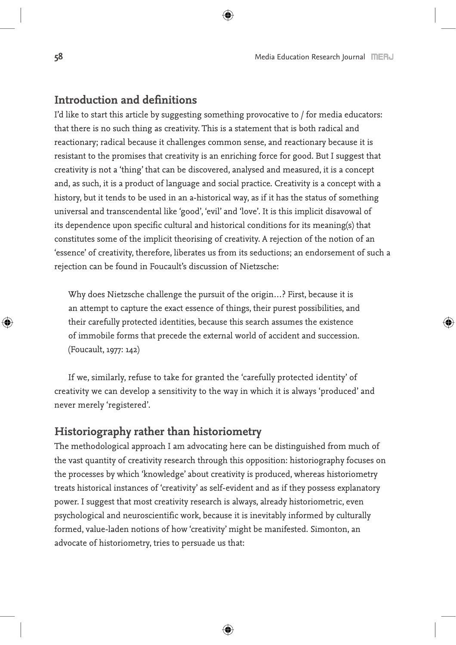## **Introduction and definitions**

I'd like to start this article by suggesting something provocative to / for media educators: that there is no such thing as creativity. This is a statement that is both radical and reactionary; radical because it challenges common sense, and reactionary because it is resistant to the promises that creativity is an enriching force for good. But I suggest that creativity is not a 'thing' that can be discovered, analysed and measured, it is a concept and, as such, it is a product of language and social practice. Creativity is a concept with a history, but it tends to be used in an a-historical way, as if it has the status of something universal and transcendental like 'good', 'evil' and 'love'. It is this implicit disavowal of its dependence upon specific cultural and historical conditions for its meaning(s) that constitutes some of the implicit theorising of creativity. A rejection of the notion of an 'essence' of creativity, therefore, liberates us from its seductions; an endorsement of such a rejection can be found in Foucault's discussion of Nietzsche:

Why does Nietzsche challenge the pursuit of the origin…? First, because it is an attempt to capture the exact essence of things, their purest possibilities, and their carefully protected identities, because this search assumes the existence of immobile forms that precede the external world of accident and succession. (Foucault, 1977: 142)

If we, similarly, refuse to take for granted the 'carefully protected identity' of creativity we can develop a sensitivity to the way in which it is always 'produced' and never merely 'registered'.

## **Historiography rather than historiometry**

The methodological approach I am advocating here can be distinguished from much of the vast quantity of creativity research through this opposition: historiography focuses on the processes by which 'knowledge' about creativity is produced, whereas historiometry treats historical instances of 'creativity' as self-evident and as if they possess explanatory power. I suggest that most creativity research is always, already historiometric, even psychological and neuroscientific work, because it is inevitably informed by culturally formed, value-laden notions of how 'creativity' might be manifested. Simonton, an advocate of historiometry, tries to persuade us that: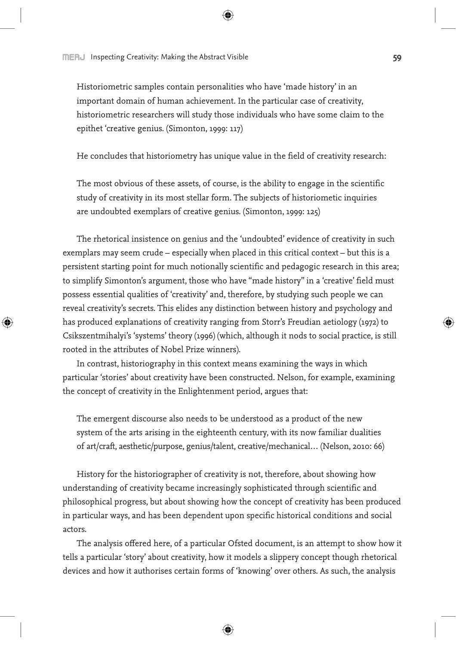⊕

Historiometric samples contain personalities who have 'made history' in an important domain of human achievement. In the particular case of creativity, historiometric researchers will study those individuals who have some claim to the epithet 'creative genius. (Simonton, 1999: 117)

He concludes that historiometry has unique value in the field of creativity research:

The most obvious of these assets, of course, is the ability to engage in the scientific study of creativity in its most stellar form. The subjects of historiometic inquiries are undoubted exemplars of creative genius. (Simonton, 1999: 125)

The rhetorical insistence on genius and the 'undoubted' evidence of creativity in such exemplars may seem crude – especially when placed in this critical context – but this is a persistent starting point for much notionally scientific and pedagogic research in this area; to simplify Simonton's argument, those who have "made history" in a 'creative' field must possess essential qualities of 'creativity' and, therefore, by studying such people we can reveal creativity's secrets. This elides any distinction between history and psychology and has produced explanations of creativity ranging from Storr's Freudian aetiology (1972) to Csikszentmihalyi's 'systems' theory (1996) (which, although it nods to social practice, is still rooted in the attributes of Nobel Prize winners).

In contrast, historiography in this context means examining the ways in which particular 'stories' about creativity have been constructed. Nelson, for example, examining the concept of creativity in the Enlightenment period, argues that:

The emergent discourse also needs to be understood as a product of the new system of the arts arising in the eighteenth century, with its now familiar dualities of art/craft, aesthetic/purpose, genius/talent, creative/mechanical… (Nelson, 2010: 66)

History for the historiographer of creativity is not, therefore, about showing how understanding of creativity became increasingly sophisticated through scientific and philosophical progress, but about showing how the concept of creativity has been produced in particular ways, and has been dependent upon specific historical conditions and social actors.

The analysis offered here, of a particular Ofsted document, is an attempt to show how it tells a particular 'story' about creativity, how it models a slippery concept though rhetorical devices and how it authorises certain forms of 'knowing' over others. As such, the analysis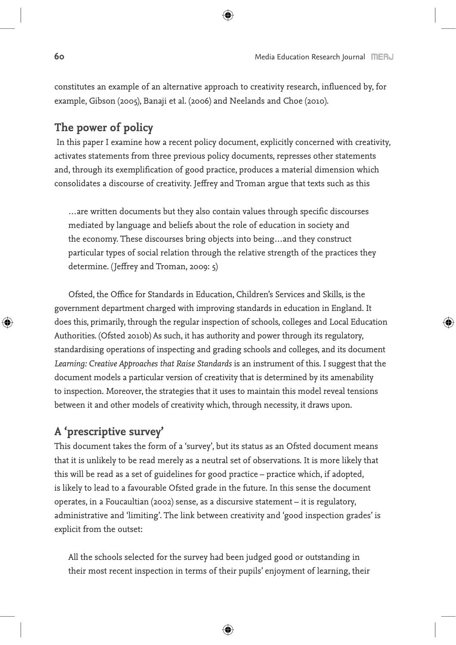constitutes an example of an alternative approach to creativity research, influenced by, for example, Gibson (2005), Banaji et al. (2006) and Neelands and Choe (2010).

## **The power of policy**

 In this paper I examine how a recent policy document, explicitly concerned with creativity, activates statements from three previous policy documents, represses other statements and, through its exemplification of good practice, produces a material dimension which consolidates a discourse of creativity. Jeffrey and Troman argue that texts such as this

…are written documents but they also contain values through specific discourses mediated by language and beliefs about the role of education in society and the economy. These discourses bring objects into being…and they construct particular types of social relation through the relative strength of the practices they determine. (Jeffrey and Troman, 2009: 5)

Ofsted, the Office for Standards in Education, Children's Services and Skills, is the government department charged with improving standards in education in England. It does this, primarily, through the regular inspection of schools, colleges and Local Education Authorities. (Ofsted 2010b) As such, it has authority and power through its regulatory, standardising operations of inspecting and grading schools and colleges, and its document *Learning: Creative Approaches that Raise Standards* is an instrument of this. I suggest that the document models a particular version of creativity that is determined by its amenability to inspection. Moreover, the strategies that it uses to maintain this model reveal tensions between it and other models of creativity which, through necessity, it draws upon.

## **A 'prescriptive survey'**

This document takes the form of a 'survey', but its status as an Ofsted document means that it is unlikely to be read merely as a neutral set of observations. It is more likely that this will be read as a set of guidelines for good practice – practice which, if adopted, is likely to lead to a favourable Ofsted grade in the future. In this sense the document operates, in a Foucaultian (2002) sense, as a discursive statement – it is regulatory, administrative and 'limiting'. The link between creativity and 'good inspection grades' is explicit from the outset:

All the schools selected for the survey had been judged good or outstanding in their most recent inspection in terms of their pupils' enjoyment of learning, their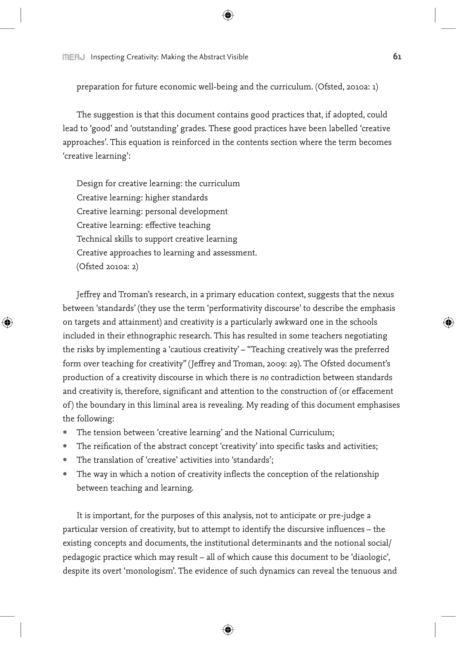**INERJ** Inspecting Creativity: Making the Abstract Visible **61** 

preparation for future economic well-being and the curriculum. (Ofsted, 2010a: 1)

The suggestion is that this document contains good practices that, if adopted, could lead to 'good' and 'outstanding' grades. These good practices have been labelled 'creative approaches'. This equation is reinforced in the contents section where the term becomes 'creative learning':

Design for creative learning: the curriculum Creative learning: higher standards Creative learning: personal development Creative learning: effective teaching Technical skills to support creative learning Creative approaches to learning and assessment. (Ofsted 2010a: 2)

⊕

Jeffrey and Troman's research, in a primary education context, suggests that the nexus between 'standards' (they use the term 'performativity discourse' to describe the emphasis on targets and attainment) and creativity is a particularly awkward one in the schools included in their ethnographic research. This has resulted in some teachers negotiating the risks by implementing a 'cautious creativity' – "Teaching creatively was the preferred form over teaching for creativity" (Jeffrey and Troman, 2009: 29). The Ofsted document's production of a creativity discourse in which there is *no* contradiction between standards and creativity is, therefore, significant and attention to the construction of (or effacement of) the boundary in this liminal area is revealing. My reading of this document emphasises the following:

- The tension between 'creative learning' and the National Curriculum;
- The reification of the abstract concept 'creativity' into specific tasks and activities;
- The translation of 'creative' activities into 'standards':
- The way in which a notion of creativity inflects the conception of the relationship between teaching and learning.

It is important, for the purposes of this analysis, not to anticipate or pre-judge a particular version of creativity, but to attempt to identify the discursive influences – the existing concepts and documents, the institutional determinants and the notional social/ pedagogic practice which may result – all of which cause this document to be 'diaologic', despite its overt 'monologism'. The evidence of such dynamics can reveal the tenuous and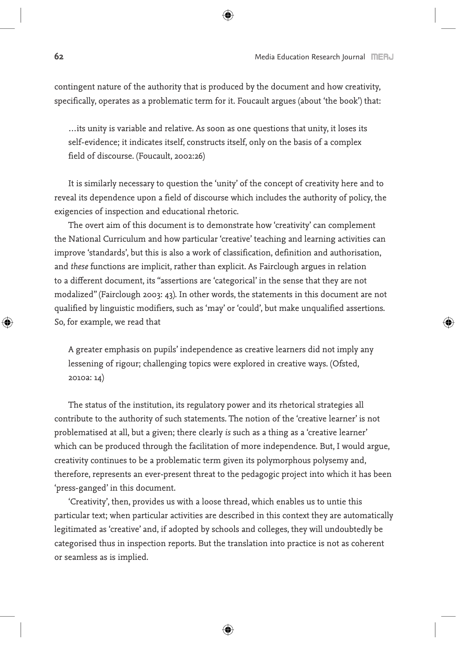◈

contingent nature of the authority that is produced by the document and how creativity, specifically, operates as a problematic term for it. Foucault argues (about 'the book') that:

…its unity is variable and relative. As soon as one questions that unity, it loses its self-evidence; it indicates itself, constructs itself, only on the basis of a complex field of discourse. (Foucault, 2002:26)

It is similarly necessary to question the 'unity' of the concept of creativity here and to reveal its dependence upon a field of discourse which includes the authority of policy, the exigencies of inspection and educational rhetoric.

The overt aim of this document is to demonstrate how 'creativity' can complement the National Curriculum and how particular 'creative' teaching and learning activities can improve 'standards', but this is also a work of classification, definition and authorisation, and *these* functions are implicit, rather than explicit. As Fairclough argues in relation to a different document, its "assertions are 'categorical' in the sense that they are not modalized" (Fairclough 2003: 43). In other words, the statements in this document are not qualified by linguistic modifiers, such as 'may' or 'could', but make unqualified assertions. So, for example, we read that

A greater emphasis on pupils' independence as creative learners did not imply any lessening of rigour; challenging topics were explored in creative ways. (Ofsted, 2010a: 14)

The status of the institution, its regulatory power and its rhetorical strategies all contribute to the authority of such statements. The notion of the 'creative learner' is not problematised at all, but a given; there clearly *is* such as a thing as a 'creative learner' which can be produced through the facilitation of more independence. But, I would argue, creativity continues to be a problematic term given its polymorphous polysemy and, therefore, represents an ever-present threat to the pedagogic project into which it has been 'press-ganged' in this document.

'Creativity', then, provides us with a loose thread, which enables us to untie this particular text; when particular activities are described in this context they are automatically legitimated as 'creative' and, if adopted by schools and colleges, they will undoubtedly be categorised thus in inspection reports. But the translation into practice is not as coherent or seamless as is implied.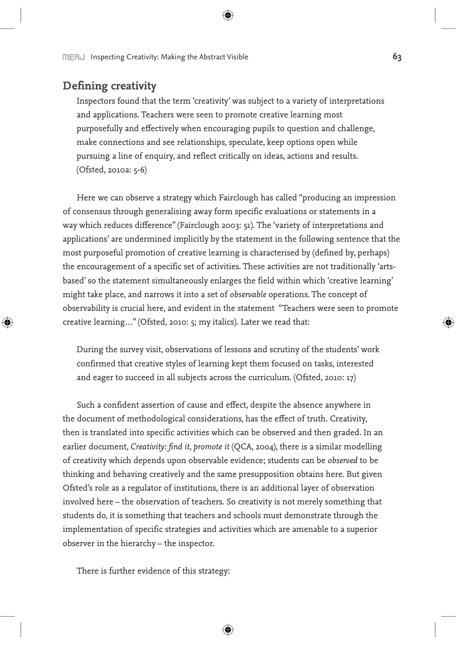## **Defining creativity**

⊕

Inspectors found that the term 'creativity' was subject to a variety of interpretations and applications. Teachers were seen to promote creative learning most purposefully and effectively when encouraging pupils to question and challenge, make connections and see relationships, speculate, keep options open while pursuing a line of enquiry, and reflect critically on ideas, actions and results. (Ofsted, 2010a: 5-6)

Here we can observe a strategy which Fairclough has called "producing an impression of consensus through generalising away form specific evaluations or statements in a way which reduces difference" (Fairclough 2003: 51). The 'variety of interpretations and applications' are undermined implicitly by the statement in the following sentence that the most purposeful promotion of creative learning is characterised by (defined by, perhaps) the encouragement of a specific set of activities. These activities are not traditionally 'artsbased' so the statement simultaneously enlarges the field within which 'creative learning' might take place, and narrows it into a set of *observable* operations. The concept of observability is crucial here, and evident in the statement "Teachers were seen to promote creative learning…" (Ofsted, 2010: 5; my italics). Later we read that:

During the survey visit, observations of lessons and scrutiny of the students' work confirmed that creative styles of learning kept them focused on tasks, interested and eager to succeed in all subjects across the curriculum. (Ofsted, 2010: 17)

Such a confident assertion of cause and effect, despite the absence anywhere in the document of methodological considerations, has the effect of truth. Creativity, then is translated into specific activities which can be observed and then graded. In an earlier document, *Creativity: find it, promote it* (QCA, 2004), there is a similar modelling of creativity which depends upon observable evidence; students can be *observed* to be thinking and behaving creatively and the same presupposition obtains here. But given Ofsted's role as a regulator of institutions, there is an additional layer of observation involved here – the observation of teachers. So creativity is not merely something that students do, it is something that teachers and schools must demonstrate through the implementation of specific strategies and activities which are amenable to a superior observer in the hierarchy – the inspector.

There is further evidence of this strategy: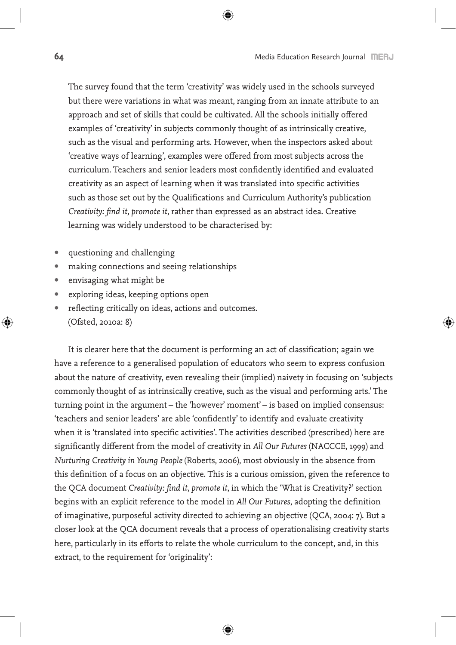The survey found that the term 'creativity' was widely used in the schools surveyed but there were variations in what was meant, ranging from an innate attribute to an approach and set of skills that could be cultivated. All the schools initially offered examples of 'creativity' in subjects commonly thought of as intrinsically creative, such as the visual and performing arts. However, when the inspectors asked about 'creative ways of learning', examples were offered from most subjects across the curriculum. Teachers and senior leaders most confidently identified and evaluated creativity as an aspect of learning when it was translated into specific activities such as those set out by the Qualifications and Curriculum Authority's publication *Creativity: find it, promote it*, rather than expressed as an abstract idea. Creative learning was widely understood to be characterised by:

⊕

- questioning and challenging
- making connections and seeing relationships
- envisaging what might be
- exploring ideas, keeping options open
- reflecting critically on ideas, actions and outcomes. (Ofsted, 2010a: 8)

It is clearer here that the document is performing an act of classification; again we have a reference to a generalised population of educators who seem to express confusion about the nature of creativity, even revealing their (implied) naivety in focusing on 'subjects commonly thought of as intrinsically creative, such as the visual and performing arts.' The turning point in the argument – the 'however' moment' – is based on implied consensus: 'teachers and senior leaders' are able 'confidently' to identify and evaluate creativity when it is 'translated into specific activities'. The activities described (prescribed) here are significantly different from the model of creativity in *All Our Futures* (NACCCE, 1999) and *Nurturing Creativity in Young People* (Roberts, 2006), most obviously in the absence from this definition of a focus on an objective. This is a curious omission, given the reference to the QCA document *Creativity: find it, promote it*, in which the 'What is Creativity?' section begins with an explicit reference to the model in *All Our Futures*, adopting the definition of imaginative, purposeful activity directed to achieving an objective (QCA, 2004: 7). But a closer look at the QCA document reveals that a process of operationalising creativity starts here, particularly in its efforts to relate the whole curriculum to the concept, and, in this extract, to the requirement for 'originality':

↔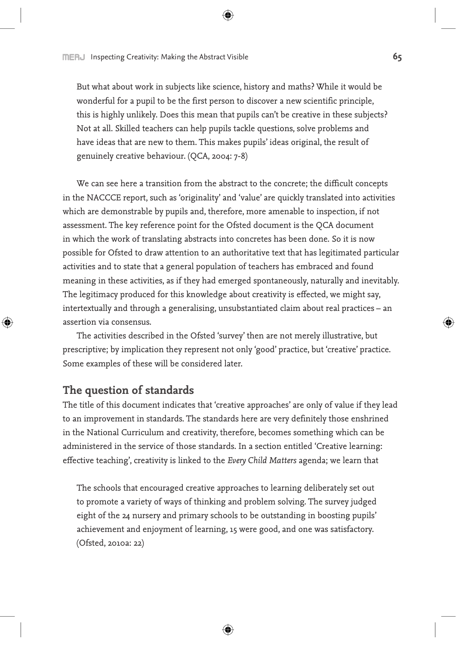But what about work in subjects like science, history and maths? While it would be wonderful for a pupil to be the first person to discover a new scientific principle, this is highly unlikely. Does this mean that pupils can't be creative in these subjects? Not at all. Skilled teachers can help pupils tackle questions, solve problems and have ideas that are new to them. This makes pupils' ideas original, the result of genuinely creative behaviour. (QCA, 2004: 7-8)

We can see here a transition from the abstract to the concrete; the difficult concepts in the NACCCE report, such as 'originality' and 'value' are quickly translated into activities which are demonstrable by pupils and, therefore, more amenable to inspection, if not assessment. The key reference point for the Ofsted document is the QCA document in which the work of translating abstracts into concretes has been done. So it is now possible for Ofsted to draw attention to an authoritative text that has legitimated particular activities and to state that a general population of teachers has embraced and found meaning in these activities, as if they had emerged spontaneously, naturally and inevitably. The legitimacy produced for this knowledge about creativity is effected, we might say, intertextually and through a generalising, unsubstantiated claim about real practices – an assertion via consensus.

The activities described in the Ofsted 'survey' then are not merely illustrative, but prescriptive; by implication they represent not only 'good' practice, but 'creative' practice. Some examples of these will be considered later.

### **The question of standards**

⊕

The title of this document indicates that 'creative approaches' are only of value if they lead to an improvement in standards. The standards here are very definitely those enshrined in the National Curriculum and creativity, therefore, becomes something which can be administered in the service of those standards. In a section entitled 'Creative learning: effective teaching', creativity is linked to the *Every Child Matters* agenda; we learn that

The schools that encouraged creative approaches to learning deliberately set out to promote a variety of ways of thinking and problem solving. The survey judged eight of the 24 nursery and primary schools to be outstanding in boosting pupils' achievement and enjoyment of learning, 15 were good, and one was satisfactory. (Ofsted, 2010a: 22)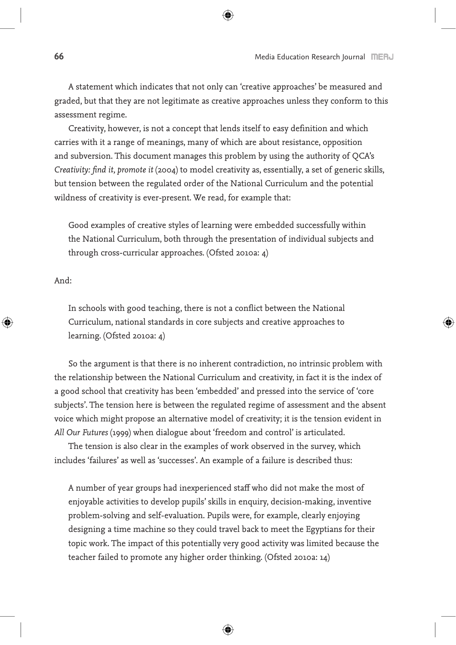A statement which indicates that not only can 'creative approaches' be measured and graded, but that they are not legitimate as creative approaches unless they conform to this assessment regime.

Creativity, however, is not a concept that lends itself to easy definition and which carries with it a range of meanings, many of which are about resistance, opposition and subversion. This document manages this problem by using the authority of QCA's *Creativity: find it, promote it* (2004) to model creativity as, essentially, a set of generic skills, but tension between the regulated order of the National Curriculum and the potential wildness of creativity is ever-present. We read, for example that:

Good examples of creative styles of learning were embedded successfully within the National Curriculum, both through the presentation of individual subjects and through cross-curricular approaches. (Ofsted 2010a: 4)

And:

◈

In schools with good teaching, there is not a conflict between the National Curriculum, national standards in core subjects and creative approaches to learning. (Ofsted 2010a: 4)

So the argument is that there is no inherent contradiction, no intrinsic problem with the relationship between the National Curriculum and creativity, in fact it is the index of a good school that creativity has been 'embedded' and pressed into the service of 'core subjects'. The tension here is between the regulated regime of assessment and the absent voice which might propose an alternative model of creativity; it is the tension evident in *All Our Futures* (1999) when dialogue about 'freedom and control' is articulated.

The tension is also clear in the examples of work observed in the survey, which includes 'failures' as well as 'successes'. An example of a failure is described thus:

A number of year groups had inexperienced staff who did not make the most of enjoyable activities to develop pupils' skills in enquiry, decision-making, inventive problem-solving and self-evaluation. Pupils were, for example, clearly enjoying designing a time machine so they could travel back to meet the Egyptians for their topic work. The impact of this potentially very good activity was limited because the teacher failed to promote any higher order thinking. (Ofsted 2010a: 14)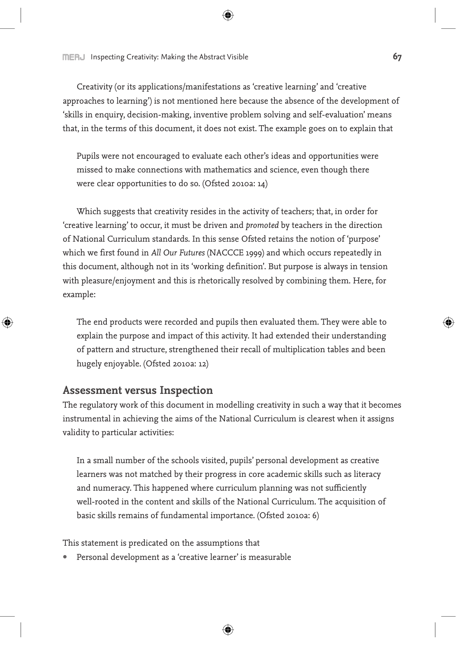**INCHU** Inspecting Creativity: Making the Abstract Visible **67** 

Creativity (or its applications/manifestations as 'creative learning' and 'creative approaches to learning') is not mentioned here because the absence of the development of 'skills in enquiry, decision-making, inventive problem solving and self-evaluation' means that, in the terms of this document, it does not exist. The example goes on to explain that

Pupils were not encouraged to evaluate each other's ideas and opportunities were missed to make connections with mathematics and science, even though there were clear opportunities to do so. (Ofsted 2010a: 14)

Which suggests that creativity resides in the activity of teachers; that, in order for 'creative learning' to occur, it must be driven and *promoted* by teachers in the direction of National Curriculum standards. In this sense Ofsted retains the notion of 'purpose' which we first found in *All Our Futures* (NACCCE 1999) and which occurs repeatedly in this document, although not in its 'working definition'. But purpose is always in tension with pleasure/enjoyment and this is rhetorically resolved by combining them. Here, for example:

The end products were recorded and pupils then evaluated them. They were able to explain the purpose and impact of this activity. It had extended their understanding of pattern and structure, strengthened their recall of multiplication tables and been hugely enjoyable. (Ofsted 2010a: 12)

#### **Assessment versus Inspection**

↔

The regulatory work of this document in modelling creativity in such a way that it becomes instrumental in achieving the aims of the National Curriculum is clearest when it assigns validity to particular activities:

In a small number of the schools visited, pupils' personal development as creative learners was not matched by their progress in core academic skills such as literacy and numeracy. This happened where curriculum planning was not sufficiently well-rooted in the content and skills of the National Curriculum. The acquisition of basic skills remains of fundamental importance. (Ofsted 2010a: 6)

This statement is predicated on the assumptions that

• Personal development as a 'creative learner' is measurable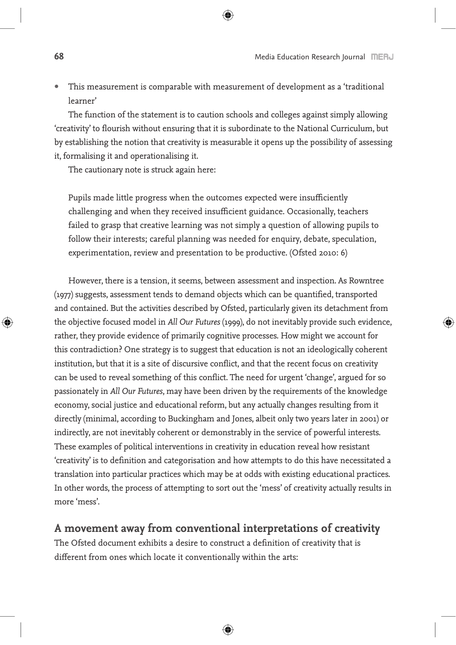• This measurement is comparable with measurement of development as a 'traditional learner'

The function of the statement is to caution schools and colleges against simply allowing 'creativity' to flourish without ensuring that it is subordinate to the National Curriculum, but by establishing the notion that creativity is measurable it opens up the possibility of assessing it, formalising it and operationalising it.

The cautionary note is struck again here:

Pupils made little progress when the outcomes expected were insufficiently challenging and when they received insufficient guidance. Occasionally, teachers failed to grasp that creative learning was not simply a question of allowing pupils to follow their interests; careful planning was needed for enquiry, debate, speculation, experimentation, review and presentation to be productive. (Ofsted 2010: 6)

However, there is a tension, it seems, between assessment and inspection. As Rowntree (1977) suggests, assessment tends to demand objects which can be quantified, transported and contained. But the activities described by Ofsted, particularly given its detachment from the objective focused model in *All Our Futures* (1999), do not inevitably provide such evidence, rather, they provide evidence of primarily cognitive processes. How might we account for this contradiction? One strategy is to suggest that education is not an ideologically coherent institution, but that it is a site of discursive conflict, and that the recent focus on creativity can be used to reveal something of this conflict. The need for urgent 'change', argued for so passionately in *All Our Futures*, may have been driven by the requirements of the knowledge economy, social justice and educational reform, but any actually changes resulting from it directly (minimal, according to Buckingham and Jones, albeit only two years later in 2001) or indirectly, are not inevitably coherent or demonstrably in the service of powerful interests. These examples of political interventions in creativity in education reveal how resistant 'creativity' is to definition and categorisation and how attempts to do this have necessitated a translation into particular practices which may be at odds with existing educational practices. In other words, the process of attempting to sort out the 'mess' of creativity actually results in more 'mess'.

## **A movement away from conventional interpretations of creativity**

The Ofsted document exhibits a desire to construct a definition of creativity that is different from ones which locate it conventionally within the arts: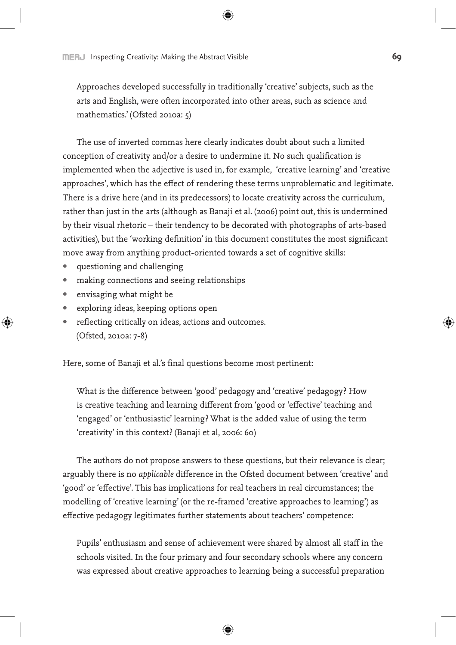Approaches developed successfully in traditionally 'creative' subjects, such as the arts and English, were often incorporated into other areas, such as science and mathematics.' (Ofsted 2010a: 5)

The use of inverted commas here clearly indicates doubt about such a limited conception of creativity and/or a desire to undermine it. No such qualification is implemented when the adjective is used in, for example, 'creative learning' and 'creative approaches', which has the effect of rendering these terms unproblematic and legitimate. There is a drive here (and in its predecessors) to locate creativity across the curriculum, rather than just in the arts (although as Banaji et al. (2006) point out, this is undermined by their visual rhetoric – their tendency to be decorated with photographs of arts-based activities), but the 'working definition' in this document constitutes the most significant move away from anything product-oriented towards a set of cognitive skills:

- questioning and challenging
- making connections and seeing relationships
- envisaging what might be

⊕

- exploring ideas, keeping options open
- reflecting critically on ideas, actions and outcomes. (Ofsted, 2010a: 7-8)

Here, some of Banaji et al.'s final questions become most pertinent:

What is the difference between 'good' pedagogy and 'creative' pedagogy? How is creative teaching and learning different from 'good or 'effective' teaching and 'engaged' or 'enthusiastic' learning? What is the added value of using the term 'creativity' in this context? (Banaji et al, 2006: 60)

The authors do not propose answers to these questions, but their relevance is clear; arguably there is no *applicable* difference in the Ofsted document between 'creative' and 'good' or 'effective'. This has implications for real teachers in real circumstances; the modelling of 'creative learning' (or the re-framed 'creative approaches to learning') as effective pedagogy legitimates further statements about teachers' competence:

Pupils' enthusiasm and sense of achievement were shared by almost all staff in the schools visited. In the four primary and four secondary schools where any concern was expressed about creative approaches to learning being a successful preparation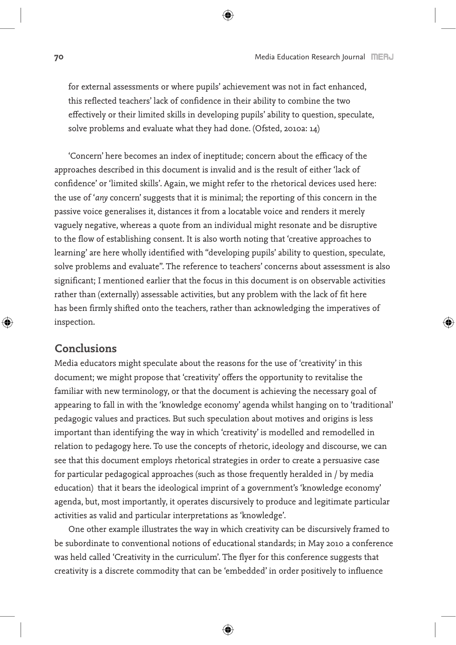for external assessments or where pupils' achievement was not in fact enhanced, this reflected teachers' lack of confidence in their ability to combine the two effectively or their limited skills in developing pupils' ability to question, speculate, solve problems and evaluate what they had done. (Ofsted, 2010a: 14)

'Concern' here becomes an index of ineptitude; concern about the efficacy of the approaches described in this document is invalid and is the result of either 'lack of confidence' or 'limited skills'. Again, we might refer to the rhetorical devices used here: the use of '*any* concern' suggests that it is minimal; the reporting of this concern in the passive voice generalises it, distances it from a locatable voice and renders it merely vaguely negative, whereas a quote from an individual might resonate and be disruptive to the flow of establishing consent. It is also worth noting that 'creative approaches to learning' are here wholly identified with "developing pupils' ability to question, speculate, solve problems and evaluate". The reference to teachers' concerns about assessment is also significant; I mentioned earlier that the focus in this document is on observable activities rather than (externally) assessable activities, but any problem with the lack of fit here has been firmly shifted onto the teachers, rather than acknowledging the imperatives of inspection.

### **Conclusions**

◈

Media educators might speculate about the reasons for the use of 'creativity' in this document; we might propose that 'creativity' offers the opportunity to revitalise the familiar with new terminology, or that the document is achieving the necessary goal of appearing to fall in with the 'knowledge economy' agenda whilst hanging on to 'traditional' pedagogic values and practices. But such speculation about motives and origins is less important than identifying the way in which 'creativity' is modelled and remodelled in relation to pedagogy here. To use the concepts of rhetoric, ideology and discourse, we can see that this document employs rhetorical strategies in order to create a persuasive case for particular pedagogical approaches (such as those frequently heralded in / by media education) that it bears the ideological imprint of a government's 'knowledge economy' agenda, but, most importantly, it operates discursively to produce and legitimate particular activities as valid and particular interpretations as 'knowledge'.

One other example illustrates the way in which creativity can be discursively framed to be subordinate to conventional notions of educational standards; in May 2010 a conference was held called 'Creativity in the curriculum'. The flyer for this conference suggests that creativity is a discrete commodity that can be 'embedded' in order positively to influence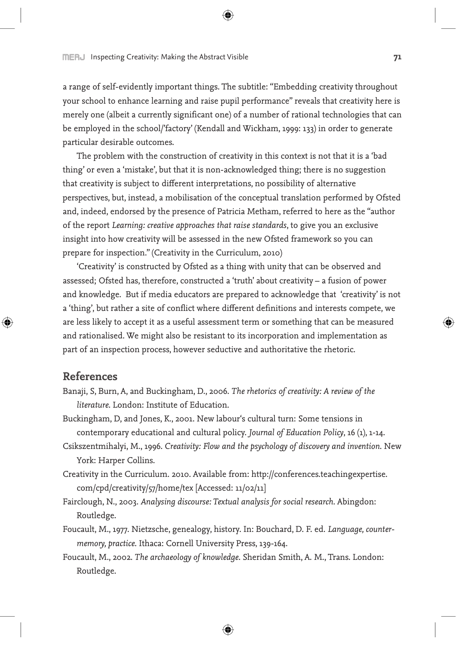a range of self-evidently important things. The subtitle: "Embedding creativity throughout your school to enhance learning and raise pupil performance" reveals that creativity here is merely one (albeit a currently significant one) of a number of rational technologies that can be employed in the school/'factory' (Kendall and Wickham, 1999: 133) in order to generate particular desirable outcomes.

The problem with the construction of creativity in this context is not that it is a 'bad thing' or even a 'mistake', but that it is non-acknowledged thing; there is no suggestion that creativity is subject to different interpretations, no possibility of alternative perspectives, but, instead, a mobilisation of the conceptual translation performed by Ofsted and, indeed, endorsed by the presence of Patricia Metham, referred to here as the "author of the report *Learning: creative approaches that raise standards*, to give you an exclusive insight into how creativity will be assessed in the new Ofsted framework so you can prepare for inspection." (Creativity in the Curriculum, 2010)

'Creativity' is constructed by Ofsted as a thing with unity that can be observed and assessed; Ofsted has, therefore, constructed a 'truth' about creativity – a fusion of power and knowledge. But if media educators are prepared to acknowledge that 'creativity' is not a 'thing', but rather a site of conflict where different definitions and interests compete, we are less likely to accept it as a useful assessment term or something that can be measured and rationalised. We might also be resistant to its incorporation and implementation as part of an inspection process, however seductive and authoritative the rhetoric.

#### **References**

↔

- Banaji, S, Burn, A, and Buckingham, D., 2006. *The rhetorics of creativity: A review of the literature*. London: Institute of Education.
- Buckingham, D, and Jones, K., 2001. New labour's cultural turn: Some tensions in contemporary educational and cultural policy. *Journal of Education Policy*, 16 (1), 1-14.
- Csikszentmihalyi, M., 1996. *Creativity: Flow and the psychology of discovery and invention*. New York: Harper Collins.
- Creativity in the Curriculum. 2010. Available from: http://conferences.teachingexpertise. com/cpd/creativity/57/home/tex [Accessed: 11/02/11]
- Fairclough, N., 2003. *Analysing discourse: Textual analysis for social research*. Abingdon: Routledge.
- Foucault, M., 1977. Nietzsche, genealogy, history. In: Bouchard, D. F. ed. *Language, countermemory, practice*. Ithaca: Cornell University Press, 139-164.
- Foucault, M., 2002. *The archaeology of knowledge*. Sheridan Smith, A. M., Trans. London: Routledge.